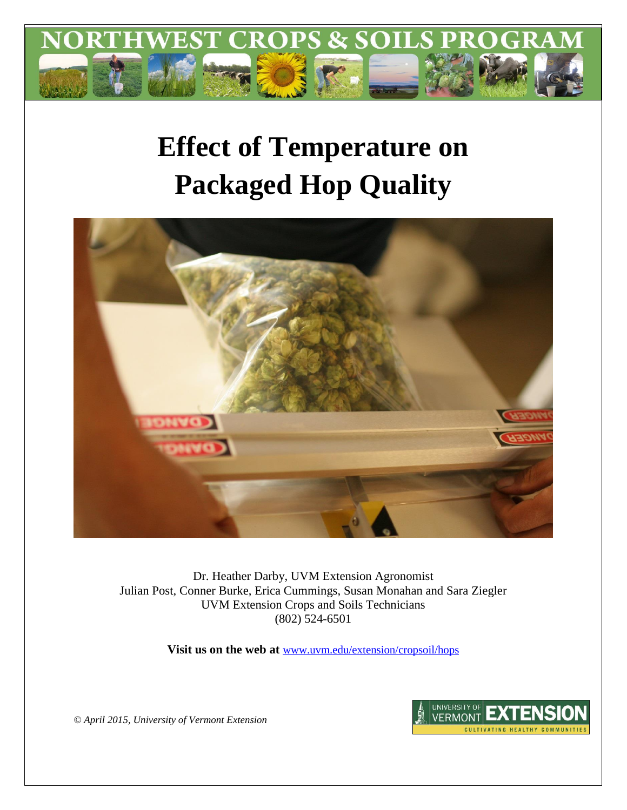

# **Effect of Temperature on Packaged Hop Quality**



Dr. Heather Darby, UVM Extension Agronomist Julian Post, Conner Burke, Erica Cummings, Susan Monahan and Sara Ziegler UVM Extension Crops and Soils Technicians (802) 524-6501

**Visit us on the web at** [www.uvm.edu/extension/cropsoil/hops](file:///C:/Users/hdarby/AppData/Local/Temp/www.uvm.edu/extension/cropsoil/hops)



*© April 2015, University of Vermont Extension*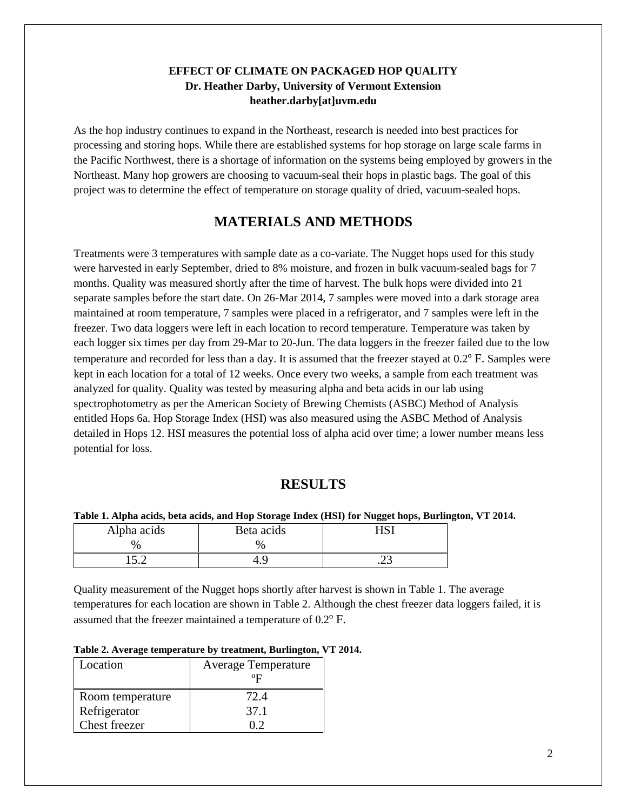### **EFFECT OF CLIMATE ON PACKAGED HOP QUALITY Dr. Heather Darby, University of Vermont Extension heather.darby[at]uvm.edu**

As the hop industry continues to expand in the Northeast, research is needed into best practices for processing and storing hops. While there are established systems for hop storage on large scale farms in the Pacific Northwest, there is a shortage of information on the systems being employed by growers in the Northeast. Many hop growers are choosing to vacuum-seal their hops in plastic bags. The goal of this project was to determine the effect of temperature on storage quality of dried, vacuum-sealed hops.

# **MATERIALS AND METHODS**

Treatments were 3 temperatures with sample date as a co-variate. The Nugget hops used for this study were harvested in early September, dried to 8% moisture, and frozen in bulk vacuum-sealed bags for 7 months. Quality was measured shortly after the time of harvest. The bulk hops were divided into 21 separate samples before the start date. On 26-Mar 2014, 7 samples were moved into a dark storage area maintained at room temperature, 7 samples were placed in a refrigerator, and 7 samples were left in the freezer. Two data loggers were left in each location to record temperature. Temperature was taken by each logger six times per day from 29-Mar to 20-Jun. The data loggers in the freezer failed due to the low temperature and recorded for less than a day. It is assumed that the freezer stayed at 0.2º F. Samples were kept in each location for a total of 12 weeks. Once every two weeks, a sample from each treatment was analyzed for quality. Quality was tested by measuring alpha and beta acids in our lab using spectrophotometry as per the American Society of Brewing Chemists (ASBC) Method of Analysis entitled Hops 6a. Hop Storage Index (HSI) was also measured using the ASBC Method of Analysis detailed in Hops 12. HSI measures the potential loss of alpha acid over time; a lower number means less potential for loss.

## **RESULTS**

#### **Table 1. Alpha acids, beta acids, and Hop Storage Index (HSI) for Nugget hops, Burlington, VT 2014.**

| Alpha acids | Beta acids | י דרי |
|-------------|------------|-------|
| %           | ν,         |       |
| . ◡ • ∸     |            | ب ک   |

Quality measurement of the Nugget hops shortly after harvest is shown in Table 1. The average temperatures for each location are shown in Table 2. Although the chest freezer data loggers failed, it is assumed that the freezer maintained a temperature of 0.2º F.

| Table 2. Average temperature by treatment, Burlington, VT 2014. |  |  |
|-----------------------------------------------------------------|--|--|
|-----------------------------------------------------------------|--|--|

| Location             | <b>Average Temperature</b><br>οĘ |
|----------------------|----------------------------------|
| Room temperature     | 72.4                             |
| Refrigerator         | 37.1                             |
| <b>Chest freezer</b> | ハク                               |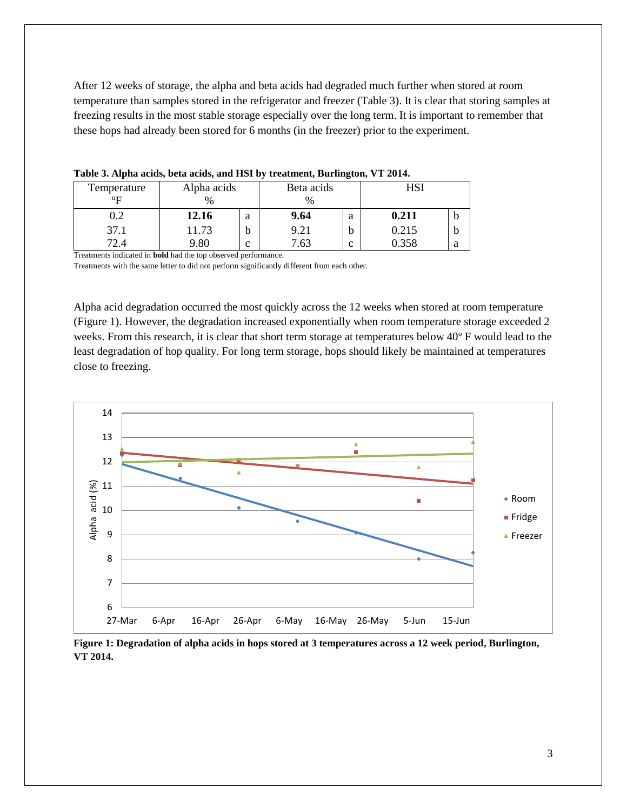After 12 weeks of storage, the alpha and beta acids had degraded much further when stored at room temperature than samples stored in the refrigerator and freezer (Table 3). It is clear that storing samples at freezing results in the most stable storage especially over the long term. It is important to remember that these hops had already been stored for 6 months (in the freezer) prior to the experiment.

| Temperature  | Alpha acids   |   | Beta acids |   | HSI   |   |  |  |  |  |
|--------------|---------------|---|------------|---|-------|---|--|--|--|--|
| $^{\circ}$ F | $\frac{0}{0}$ |   | ℀          |   |       |   |  |  |  |  |
| 0.2          | 12.16         | a | 9.64       | a | 0.211 | υ |  |  |  |  |
| 37.1         | 11.73         | h | 9.21       | b | 0.215 | b |  |  |  |  |
| 72A          | 9.80          | c | .63        | c | 0.358 | a |  |  |  |  |

**Table 3. Alpha acids, beta acids, and HSI by treatment, Burlington, VT 2014.**

Treatments indicated in **bold** had the top observed performance.

Treatments with the same letter to did not perform significantly different from each other.

Alpha acid degradation occurred the most quickly across the 12 weeks when stored at room temperature (Figure 1). However, the degradation increased exponentially when room temperature storage exceeded 2 weeks. From this research, it is clear that short term storage at temperatures below 40º F would lead to the least degradation of hop quality. For long term storage, hops should likely be maintained at temperatures close to freezing.



**Figure 1: Degradation of alpha acids in hops stored at 3 temperatures across a 12 week period, Burlington, VT 2014.**